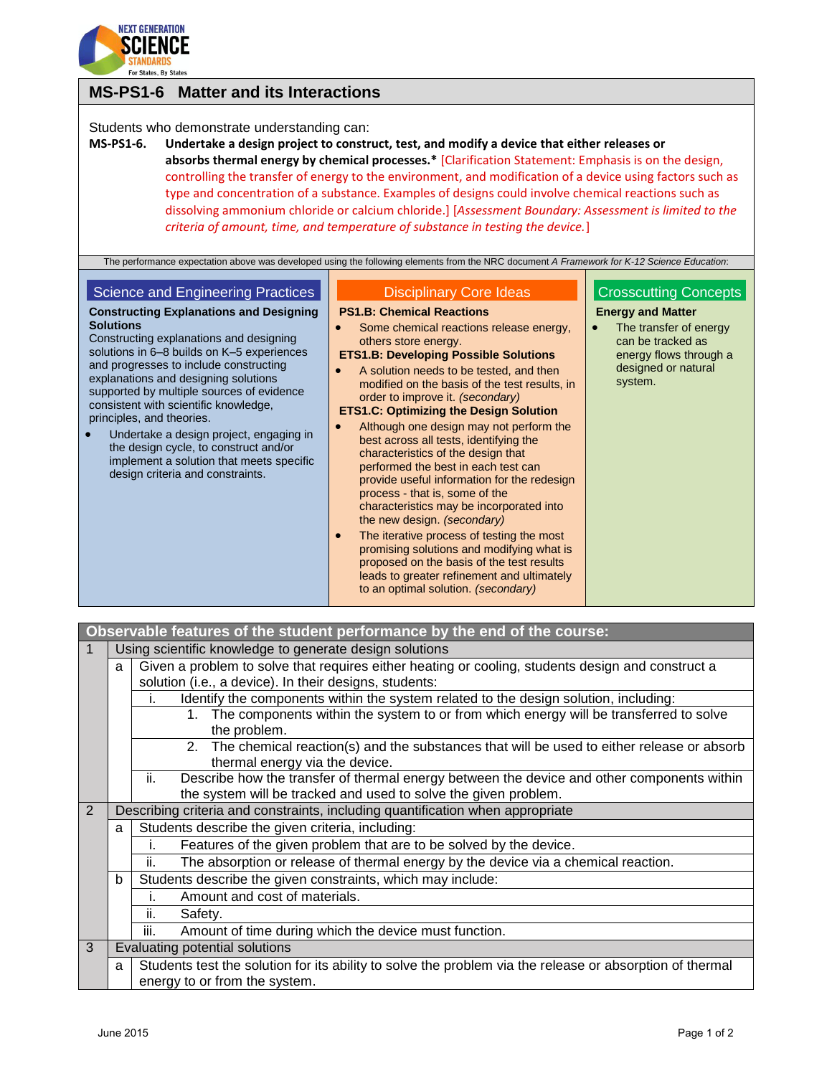

# **MS-PS1-6 Matter and its Interactions**

## Students who demonstrate understanding can:

**MS-PS1-6. Undertake a design project to construct, test, and modify a device that either releases or absorbs thermal energy by chemical processes.\*** [Clarification Statement: Emphasis is on the design, controlling the transfer of energy to the environment, and modification of a device using factors such as type and concentration of a substance. Examples of designs could involve chemical reactions such as dissolving ammonium chloride or calcium chloride.] [*Assessment Boundary: Assessment is limited to the criteria of amount, time, and temperature of substance in testing the device.*]

The performance expectation above was developed using the following elements from the NRC document *A Framework for K-12 Science Education*:

## Science and Engineering Practices

#### **Constructing Explanations and Designing Solutions**

Constructing explanations and designing solutions in 6–8 builds on K–5 experiences and progresses to include constructing explanations and designing solutions supported by multiple sources of evidence consistent with scientific knowledge, principles, and theories.

 Undertake a design project, engaging in the design cycle, to construct and/or implement a solution that meets specific design criteria and constraints.

## Disciplinary Core Ideas

#### **PS1.B: Chemical Reactions**

- Some chemical reactions release energy, others store energy.
- **ETS1.B: Developing Possible Solutions**
- A solution needs to be tested, and then modified on the basis of the test results, in order to improve it. *(secondary)*

### **ETS1.C: Optimizing the Design Solution**

- Although one design may not perform the best across all tests, identifying the characteristics of the design that performed the best in each test can provide useful information for the redesign process - that is, some of the characteristics may be incorporated into the new design. *(secondary)*
- The iterative process of testing the most promising solutions and modifying what is proposed on the basis of the test results leads to greater refinement and ultimately to an optimal solution. *(secondary)*

## Crosscutting Concepts **Energy and Matter**

 The transfer of energy can be tracked as energy flows through a designed or natural system.

| Observable features of the student performance by the end of the course: |   |                                                                                                                                                                      |  |  |
|--------------------------------------------------------------------------|---|----------------------------------------------------------------------------------------------------------------------------------------------------------------------|--|--|
|                                                                          |   | Using scientific knowledge to generate design solutions                                                                                                              |  |  |
|                                                                          | a | Given a problem to solve that requires either heating or cooling, students design and construct a                                                                    |  |  |
|                                                                          |   | solution (i.e., a device). In their designs, students:                                                                                                               |  |  |
|                                                                          |   | Identify the components within the system related to the design solution, including:<br>ı.                                                                           |  |  |
|                                                                          |   | 1. The components within the system to or from which energy will be transferred to solve<br>the problem.                                                             |  |  |
|                                                                          |   | 2. The chemical reaction(s) and the substances that will be used to either release or absorb<br>thermal energy via the device.                                       |  |  |
|                                                                          |   | ii.<br>Describe how the transfer of thermal energy between the device and other components within<br>the system will be tracked and used to solve the given problem. |  |  |
| 2                                                                        |   | Describing criteria and constraints, including quantification when appropriate                                                                                       |  |  |
|                                                                          | a | Students describe the given criteria, including:                                                                                                                     |  |  |
|                                                                          |   | Features of the given problem that are to be solved by the device.                                                                                                   |  |  |
|                                                                          |   | The absorption or release of thermal energy by the device via a chemical reaction.<br>ii.                                                                            |  |  |
|                                                                          | b | Students describe the given constraints, which may include:                                                                                                          |  |  |
|                                                                          |   | Amount and cost of materials.<br>i.                                                                                                                                  |  |  |
|                                                                          |   | Safety.<br>ii.                                                                                                                                                       |  |  |
|                                                                          |   | iii.<br>Amount of time during which the device must function.                                                                                                        |  |  |
| 3                                                                        |   | Evaluating potential solutions                                                                                                                                       |  |  |
|                                                                          | a | Students test the solution for its ability to solve the problem via the release or absorption of thermal<br>energy to or from the system.                            |  |  |